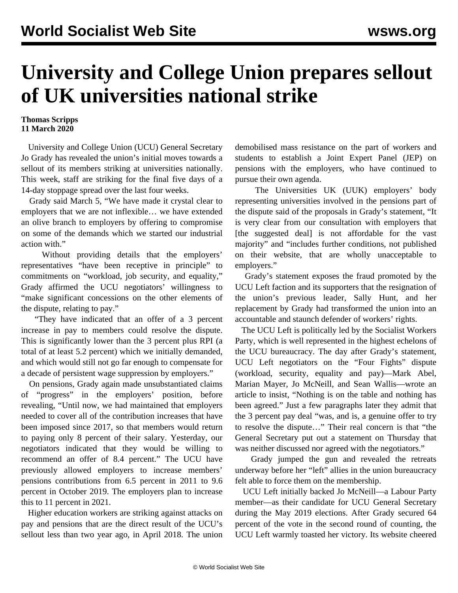## **University and College Union prepares sellout of UK universities national strike**

## **Thomas Scripps 11 March 2020**

 University and College Union (UCU) General Secretary Jo Grady has revealed the union's initial moves towards a sellout of its members striking at universities nationally. This week, staff are striking for the final five days of a 14-day stoppage spread over the last four weeks.

 Grady said March 5, "We have made it crystal clear to employers that we are not inflexible… we have extended an olive branch to employers by offering to compromise on some of the demands which we started our industrial action with."

 Without providing details that the employers' representatives "have been receptive in principle" to commitments on "workload, job security, and equality," Grady affirmed the UCU negotiators' willingness to "make significant concessions on the other elements of the dispute, relating to pay."

 "They have indicated that an offer of a 3 percent increase in pay to members could resolve the dispute. This is significantly lower than the 3 percent plus RPI (a total of at least 5.2 percent) which we initially demanded, and which would still not go far enough to compensate for a decade of persistent wage suppression by employers."

 On pensions, Grady again made unsubstantiated claims of "progress" in the employers' position, before revealing, "Until now, we had maintained that employers needed to cover all of the contribution increases that have been imposed since 2017, so that members would return to paying only 8 percent of their salary. Yesterday, our negotiators indicated that they would be willing to recommend an offer of 8.4 percent." The UCU have previously allowed employers to increase members' pensions contributions from 6.5 percent in 2011 to 9.6 percent in October 2019. The employers plan to increase this to 11 percent in 2021.

 Higher education workers are striking against attacks on pay and pensions that are the direct result of the UCU's [sellout](/en/articles/2018/04/18/lect-a18.html) less than two year ago, in April 2018. The union demobilised mass resistance on the part of workers and students to establish a Joint Expert Panel (JEP) on pensions with the employers, who have continued to pursue their own agenda.

 The Universities UK (UUK) employers' body representing universities involved in the pensions part of the dispute said of the proposals in Grady's statement, "It is very clear from our consultation with employers that [the suggested deal] is not affordable for the vast majority" and "includes further conditions, not published on their website, that are wholly unacceptable to employers."

 Grady's statement exposes the fraud promoted by the UCU Left faction and its supporters that the resignation of the union's previous leader, Sally Hunt, and her replacement by Grady had transformed the union into an accountable and staunch defender of workers' rights.

 The UCU Left is politically led by the Socialist Workers Party, which is well represented in the highest echelons of the UCU bureaucracy. The day after Grady's statement, UCU Left negotiators on the "Four Fights" dispute (workload, security, equality and pay)—Mark Abel, Marian Mayer, Jo McNeill, and Sean Wallis—wrote an article to insist, "Nothing is on the table and nothing has been agreed." Just a few paragraphs later they admit that the 3 percent pay deal "was, and is, a genuine offer to try to resolve the dispute…" Their real concern is that "the General Secretary put out a statement on Thursday that was neither discussed nor agreed with the negotiators."

 Grady jumped the gun and revealed the retreats underway before her "left" allies in the union bureaucracy felt able to force them on the membership.

 UCU Left initially backed Jo McNeill—a Labour Party member—as their candidate for UCU General Secretary during the May 2019 elections. After Grady secured 64 percent of the vote in the second round of counting, the UCU Left warmly toasted her victory. Its website cheered